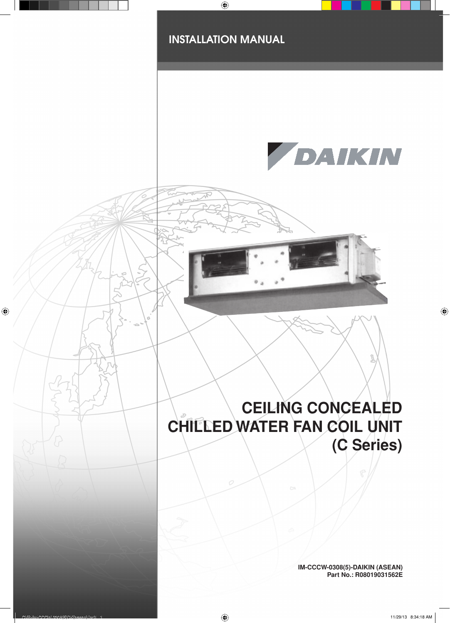

**IM-CCCW-0308(5)-DAIKIN (ASEAN) Part No.: R08019031562E**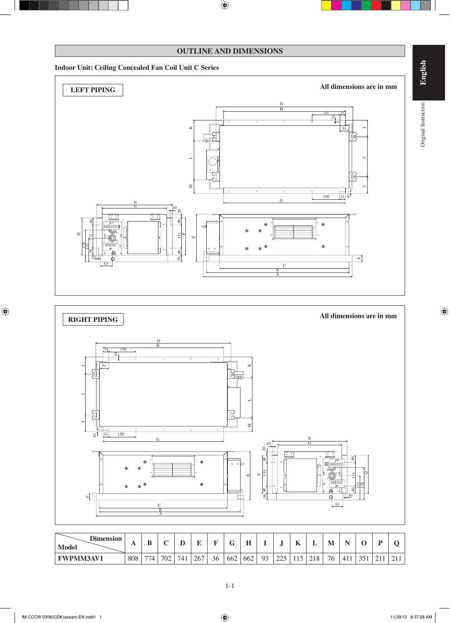#### **OUTLINE AND DIMENSIONS**

#### **Indoor Unit: Ceiling Concealed Fan Coil Unit C Series**





| <b>Dimension</b><br>Model | $\mathbf{A}$ | n<br>u |     | ≖         | -   |    | $\tilde{\phantom{a}}$<br>u | ŦТ<br>щ, |                      | e.                          | 17              | -             | M  |                            | ັ             | m |                      |
|---------------------------|--------------|--------|-----|-----------|-----|----|----------------------------|----------|----------------------|-----------------------------|-----------------|---------------|----|----------------------------|---------------|---|----------------------|
| <b>FWPMM3AV1</b>          | 808          | 774.   | 702 | -<br>74 i | 267 | 36 | 662                        | 662      | Q <sub>3</sub><br>フコ | $\Delta \Delta \tau$<br>رىي | $\sim$<br>1 1 J | 210<br>∸<br>◡ | 76 | 41 <sup>2</sup><br>r 1. 1. | 251<br>$\sim$ | ∸ | $\bigwedge$ 1<br>211 |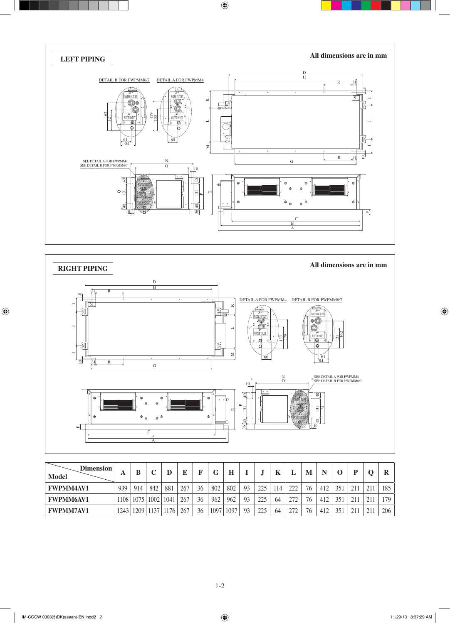



| <b>Dimension</b><br><b>Model</b> | A    | В    |      | D    | E   |    | G    | H    |    | $\bullet$ | Κ  |     | M  | N   |     |     | R   |
|----------------------------------|------|------|------|------|-----|----|------|------|----|-----------|----|-----|----|-----|-----|-----|-----|
| <b>FWPMM4AV1</b>                 | 939  | 914  | 842  | 881  | 267 | 36 | 802  | 802  | 93 | 225       | 14 | າາາ | 76 | 412 | 351 | 211 | 185 |
| <b>FWPMM6AV1</b>                 | 1108 | 1075 | 1002 | 1041 | 267 | 36 | 962  | 962  | 93 | 225       | 64 | 272 | 76 | 412 | 351 | 211 | 179 |
| <b>FWPMM7AV1</b>                 | 1243 | 1209 | 1137 | 176  | 267 | 36 | 1097 | 1097 | 93 | 225       | 64 | 272 | 76 | 412 | 351 | 211 | 206 |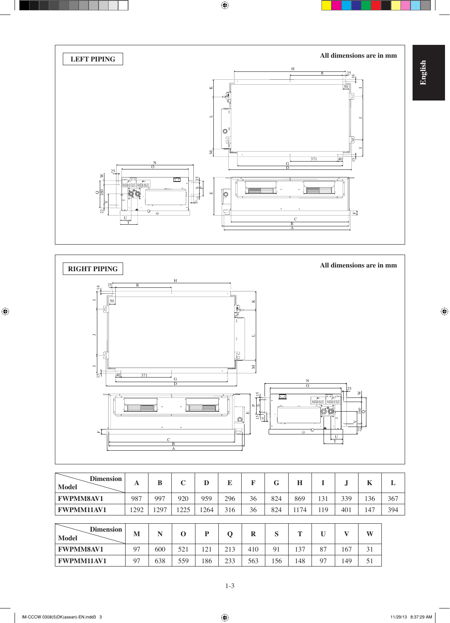



| <b>Dimension</b><br><b>Model</b> | A   | B   | C        | D    | E   | F        | G   | H    |     | J.  | K   | L   |
|----------------------------------|-----|-----|----------|------|-----|----------|-----|------|-----|-----|-----|-----|
| <b>FWPMM8AV1</b>                 | 987 | 997 | 920      | 959  | 296 | 36       | 824 | 869  | 131 | 339 | 136 | 367 |
| <b>FWPMM11AV1</b>                | 292 | 297 | 1225     | 1264 | 316 | 36       | 824 | 1174 | 119 | 401 | 147 | 394 |
|                                  |     |     |          |      |     |          |     |      |     |     |     |     |
| <b>Dimension</b><br><b>Model</b> | M   | N   | $\Omega$ | P    | Q   | $\bf{R}$ | S   | Т    | U   | v   | W   |     |
| <b>FWPMM8AV1</b>                 | 97  | 600 | 521      | 121  | 213 | 410      | 91  | 137  | 87  | 167 | 31  |     |
| <b>FWPMM11AV1</b>                | 97  | 638 | 559      | 186  | 233 | 563      | 156 | 148  | 97  | 149 | 51  |     |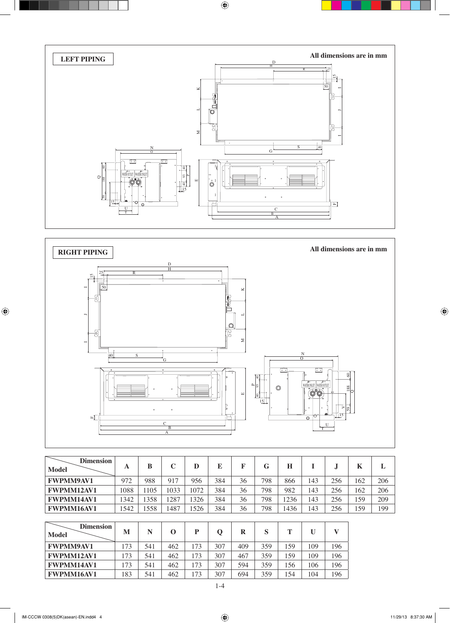



| <b>Dimension</b><br><b>Model</b> | A    | B    |      | D    |     |    | G   | н    |     |     | N   | .,  |
|----------------------------------|------|------|------|------|-----|----|-----|------|-----|-----|-----|-----|
| <b>FWPMM9AV1</b>                 | 972  | 988  | 917  | 956  | 384 | 36 | 798 | 866  | 143 | 256 | 162 | 206 |
| <b>FWPMM12AV1</b>                | 1088 | 1105 | 1033 | 1072 | 384 | 36 | 798 | 982  | 143 | 256 | 162 | 206 |
| <b>FWPMM14AV1</b>                | 1342 | 358  | 287  | 326  | 384 | 36 | 798 | 236  | 143 | 256 | 159 | 209 |
| <b>FWPMM16AV1</b>                | .542 | 558  | 1487 | 526  | 384 | 36 | 798 | 1436 | 143 | 256 | 159 | 199 |

| <b>Dimension</b><br><b>Model</b> | M   | N   |     |     |     |     | S   |     |     |     |
|----------------------------------|-----|-----|-----|-----|-----|-----|-----|-----|-----|-----|
| <b>FWPMM9AV1</b>                 | 173 | 541 | 462 | 73  | 307 | 409 | 359 | 159 | 109 | 196 |
| <b>FWPMM12AV1</b>                | 173 | 541 | 462 | 73  | 307 | 467 | 359 | 159 | 109 | 196 |
| <b>FWPMM14AV1</b>                | 173 | 541 | 462 | 73  | 307 | 594 | 359 | 156 | 106 | 196 |
| <b>FWPMM16AV1</b>                | 183 | 541 | 462 | .73 | 307 | 694 | 359 | 154 | 104 | 196 |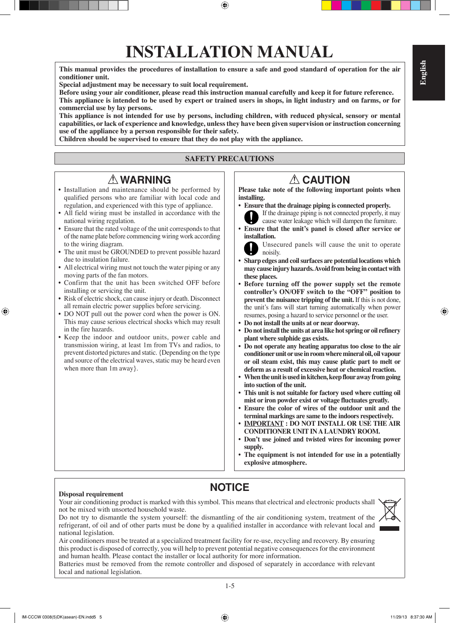## **INSTALLATION MANUAL**

**This manual provides the procedures of installation to ensure a safe and good standard of operation for the air conditioner unit.**

**Special adjustment may be necessary to suit local requirement.**

**Before using your air conditioner, please read this instruction manual carefully and keep it for future reference. This appliance is intended to be used by expert or trained users in shops, in light industry and on farms, or for commercial use by lay persons.**

**This appliance is not intended for use by persons, including children, with reduced physical, sensory or mental capabilities, or lack of experience and knowledge, unless they have been given supervision or instruction concerning use of the appliance by a person responsible for their safety.**

**Children should be supervised to ensure that they do not play with the appliance.**

#### **SAFETY PRECAUTIONS**

### ! **WARNING** ! **CAUTION**

- Installation and maintenance should be performed by qualified persons who are familiar with local code and regulation, and experienced with this type of appliance.
- All field wiring must be installed in accordance with the national wiring regulation.
- Ensure that the rated voltage of the unit corresponds to that of the name plate before commencing wiring work according to the wiring diagram.
- The unit must be GROUNDED to prevent possible hazard due to insulation failure.
- All electrical wiring must not touch the water piping or any moving parts of the fan motors.
- Confirm that the unit has been switched OFF before installing or servicing the unit.
- Risk of electric shock, can cause injury or death. Disconnect all remain electric power supplies before servicing.
- DO NOT pull out the power cord when the power is ON. This may cause serious electrical shocks which may result in the fire hazards.
- Keep the indoor and outdoor units, power cable and transmission wiring, at least 1m from TVs and radios, to prevent distorted pictures and static. {Depending on the type and source of the electrical waves, static may be heard even when more than 1m away}.

**Please take note of the following important points when installing.**

- **Ensure that the drainage piping is connected properly.** If the drainage piping is not connected properly, it may cause water leakage which will dampen the furniture.
- **Ensure that the unit's panel is closed after service or installation.**

 Unsecured panels will cause the unit to operate noisily.

- **Sharp edges and coil surfaces are potential locations which may cause injury hazards. Avoid from being in contact with these places.**
- **Before turning off the power supply set the remote controller's ON/OFF switch to the "OFF" position to prevent the nuisance tripping of the unit.** If this is not done, the unit's fans will start turning automatically when power resumes, posing a hazard to service personnel or the user.
- **Do not install the units at or near doorway.**
- **Do not install the units at area like hot spring or oil refinery plant where sulphide gas exists.**
- **Do not operate any heating apparatus too close to the air conditioner unit or use in room where mineral oil, oil vapour or oil steam exist, this may cause platic part to melt or deform as a result of excessive heat or chemical reaction.**
- **When the unit is used in kitchen, keep flour away from going into suction of the unit.**
- **This unit is not suitable for factory used where cutting oil mist or iron powder exist or voltage fluctuates greatly.**
- **Ensure the color of wires of the outdoor unit and the terminal markings are same to the indoors respectively.**
- **IMPORTANT : DO NOT INSTALL OR USE THE AIR CONDITIONER UNIT IN A LAUNDRY ROOM.**
- **Don't use joined and twisted wires for incoming power supply.**
- **The equipment is not intended for use in a potentially explosive atmosphere.**

#### **Disposal requirement**

Your air conditioning product is marked with this symbol. This means that electrical and electronic products shall not be mixed with unsorted household waste.

**NOTICE**

Do not try to dismantle the system yourself: the dismantling of the air conditioning system, treatment of the refrigerant, of oil and of other parts must be done by a qualified installer in accordance with relevant local and national legislation.

Air conditioners must be treated at a specialized treatment facility for re-use, recycling and recovery. By ensuring this product is disposed of correctly, you will help to prevent potential negative consequences for the environment and human health. Please contact the installer or local authority for more information.

Batteries must be removed from the remote controller and disposed of separately in accordance with relevant local and national legislation.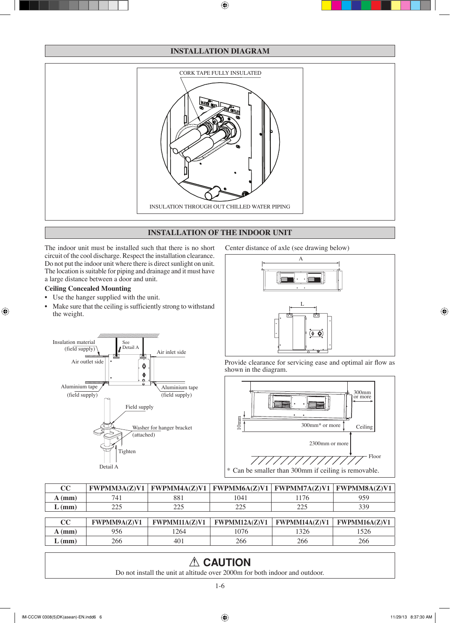#### **INSTALLATION DIAGRAM**



#### **INSTALLATION OF THE INDOOR UNIT**

The indoor unit must be installed such that there is no short circuit of the cool discharge. Respect the installation clearance. Do not put the indoor unit where there is direct sunlight on unit. The location is suitable for piping and drainage and it must have a large distance between a door and unit.

#### **Ceiling Concealed Mounting**

- Use the hanger supplied with the unit.
- Make sure that the ceiling is sufficiently strong to withstand the weight. •

Center distance of axle (see drawing below)





Provide clearance for servicing ease and optimal air flow as shown in the diagram.



| $\mathbf{cc}$<br>FWPMM3A(Z)V1 |      | $FWPMMAA(Z)V1$   $FWPMM6A(Z)V1$   $FWPMM7A(Z)V1$   $FWPMM8A(Z)V1$ |     |
|-------------------------------|------|-------------------------------------------------------------------|-----|
| 881<br>74.<br>(mm)            | 1041 | 176                                                               | 959 |
| າາເ<br>າາເ<br>$L$ (mm)        | າາເ  | າາເ                                                               |     |

| $\mathbf{cc}$ | <b>FWPMM9A(Z)V1</b> | <b>FWPMM11A(Z)V1</b> | FWPMM12A(Z)V1 | <b>FWPMM14A(Z)V1</b> | <b>FWPMM16A(Z)V1</b> |
|---------------|---------------------|----------------------|---------------|----------------------|----------------------|
| $A$ (mm)      | 956.                | 264                  | 1076          | 1326                 | .526                 |
| $L$ (mm)      | 266                 | 401                  | 266           | 266                  | 266                  |

#### A CAUTION

Do not install the unit at altitude over 2000m for both indoor and outdoor.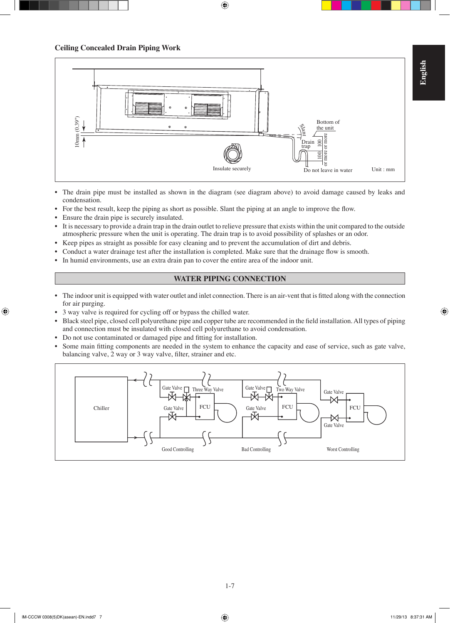

- The drain pipe must be installed as shown in the diagram (see diagram above) to avoid damage caused by leaks and condensation.
- For the best result, keep the piping as short as possible. Slant the piping at an angle to improve the flow. •
- Ensure the drain pipe is securely insulated. •
- It is necessary to provide a drain trap in the drain outlet to relieve pressure that exists within the unit compared to the outside atmospheric pressure when the unit is operating. The drain trap is to avoid possibility of splashes or an odor. •
- Keep pipes as straight as possible for easy cleaning and to prevent the accumulation of dirt and debris. •
- Conduct a water drainage test after the installation is completed. Make sure that the drainage flow is smooth. •
- In humid environments, use an extra drain pan to cover the entire area of the indoor unit. •

#### **WATER PIPING CONNECTION**

- The indoor unit is equipped with water outlet and inlet connection. There is an air-vent that is fitted along with the connection for air purging.
- 3 way valve is required for cycling off or bypass the chilled water. •
- Black steel pipe, closed cell polyurethane pipe and copper tube are recommended in the field installation. All types of piping and connection must be insulated with closed cell polyurethane to avoid condensation. •
- Do not use contaminated or damaged pipe and fitting for installation.
- Some main fitting components are needed in the system to enhance the capacity and ease of service, such as gate valve, balancing valve, 2 way or 3 way valve, filter, strainer and etc. •

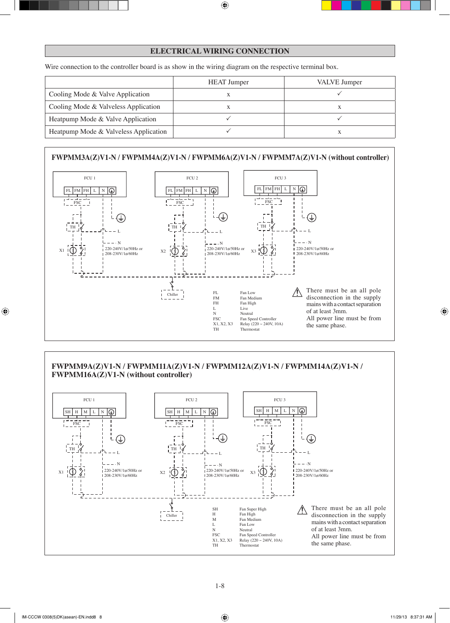#### **ELECTRICAL WIRING CONNECTION**

Wire connection to the controller board is as show in the wiring diagram on the respective terminal box.

|                                       | <b>HEAT</b> Jumper | VALVE Jumper |
|---------------------------------------|--------------------|--------------|
| Cooling Mode & Valve Application      |                    |              |
| Cooling Mode & Valveless Application  |                    |              |
| Heatpump Mode & Valve Application     |                    |              |
| Heatpump Mode & Valveless Application |                    |              |

#### **FWPMM3A(Z)V1-N / FWPMM4A(Z)V1-N / FWPMM6A(Z)V1-N / FWPMM7A(Z)V1-N (without controller)**



#### **FWPMM9A(Z)V1-N / FWPMM11A(Z)V1-N / FWPMM12A(Z)V1-N / FWPMM14A(Z)V1-N / FWPMM16A(Z)V1-N (without controller)**

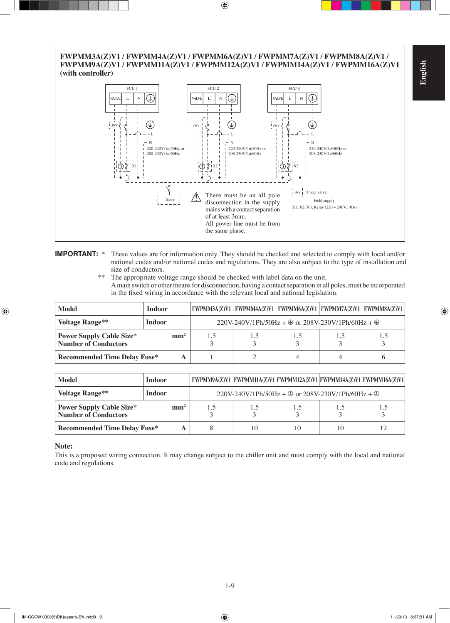# **English**

#### **FWPMM3A(Z)V1 / FWPMM4A(Z)V1 / FWPMM6A(Z)V1 / FWPMM7A(Z)V1 / FWPMM8A(Z)V1 / FWPMM9A(Z)V1 / FWPMM11A(Z)V1 / FWPMM12A(Z)V1 / FWPMM14A(Z)V1 / FWPMM16A(Z)V1 (with controller)**



#### **IMPORTANT:** \* These values are for information only. They should be checked and selected to comply with local and/or national codes and/or national codes and regulations. They are also subject to the type of installation and size of conductors.

\*\* The appropriate voltage range should be checked with label data on the unit. A main switch or other means for disconnection, having a contact separation in all poles, must be incorporated in the fixed wiring in accordance with the relevant local and national legislation.

| Model                                                          | <b>Indoor</b>   |     | FWPMM3A(Z)V1   FWPMM4A(Z)V1   FWPMM6A(Z)V1   FWPMM7A(Z)V1   FWPMM8A(Z)V1         |     |     |     |
|----------------------------------------------------------------|-----------------|-----|----------------------------------------------------------------------------------|-----|-----|-----|
| <b>Voltage Range**</b>                                         | <b>Indoor</b>   |     | $220V-240V/1Ph/50Hz + \textcircled{1}$ or $208V-230V/1Ph/60Hz + \textcircled{1}$ |     |     |     |
| <b>Power Supply Cable Size*</b><br><b>Number of Conductors</b> | mm <sup>2</sup> | 1.5 | 1.5                                                                              | 1.5 | 1.5 | 1.5 |
| <b>Recommended Time Delay Fuse*</b>                            |                 |     |                                                                                  |     |     |     |

| Model                                                          | Indoor          |     |                                                                                  |    | FWPMM9A(Z)V1  FWPMM11A(Z)V1 FWPMM12A(Z)V1 FWPMM14A(Z)V1 FWPMM16A(Z)V1 |
|----------------------------------------------------------------|-----------------|-----|----------------------------------------------------------------------------------|----|-----------------------------------------------------------------------|
| <b>Voltage Range**</b>                                         | Indoor          |     | $220V-240V/1Ph/50Hz + \textcircled{1}$ or $208V-230V/1Ph/60Hz + \textcircled{1}$ |    |                                                                       |
| <b>Power Supply Cable Size*</b><br><b>Number of Conductors</b> | mm <sup>2</sup> | 1.5 | 1.5                                                                              | 15 | 1.5                                                                   |
| <b>Recommended Time Delay Fuse*</b>                            |                 |     | 10                                                                               | 10 | 12                                                                    |

#### **Note:**

This is a proposed wiring connection. It may change subject to the chiller unit and must comply with the local and national code and regulations.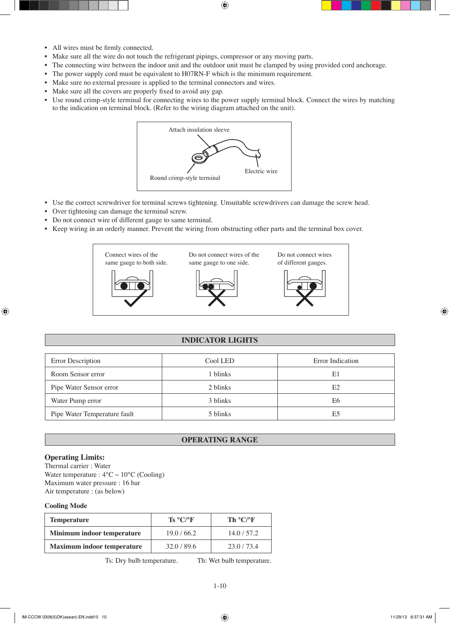- All wires must be firmly connected.
- Make sure all the wire do not touch the refrigerant pipings, compressor or any moving parts. •
- The connecting wire between the indoor unit and the outdoor unit must be clamped by using provided cord anchorage.
- The power supply cord must be equivalent to H07RN-F which is the minimum requirement.
- Make sure no external pressure is applied to the terminal connectors and wires.
- Make sure all the covers are properly fixed to avoid any gap. •
- Use round crimp-style terminal for connecting wires to the power supply terminal block. Connect the wires by matching to the indication on terminal block. (Refer to the wiring diagram attached on the unit). •



- Use the correct screwdriver for terminal screws tightening. Unsuitable screwdrivers can damage the screw head.
- Over tightening can damage the terminal screw. •
- Do not connect wire of different gauge to same terminal.
- Keep wiring in an orderly manner. Prevent the wiring from obstructing other parts and the terminal box cover.



#### **INDICATOR LIGHTS**

| Error Description            | Cool LED | Error Indication |
|------------------------------|----------|------------------|
| Room Sensor error            | 1 blinks | E1               |
| Pipe Water Sensor error      | 2 blinks | E2               |
| Water Pump error             | 3 blinks | E6               |
| Pipe Water Temperature fault | 5 blinks | E5               |

#### **OPERATING RANGE**

#### **Operating Limits:**

Thermal carrier : Water Water temperature :  $4^{\circ}$ C ~  $10^{\circ}$ C (Cooling) Maximum water pressure : 16 bar Air temperature : (as below)

#### **Cooling Mode**

| <b>Temperature</b>                | $\mathbf{Ts} \ ^{\circ} \mathbf{C}$ /°F | Th $\rm ^{\circ} C/\rm ^{\circ} F$ |
|-----------------------------------|-----------------------------------------|------------------------------------|
| Minimum indoor temperature        | 19.0 / 66.2                             | 14.0/57.2                          |
| <b>Maximum indoor temperature</b> | 32.0/89.6                               | 23.0/73.4                          |

Ts: Dry bulb temperature. Th: Wet bulb temperature.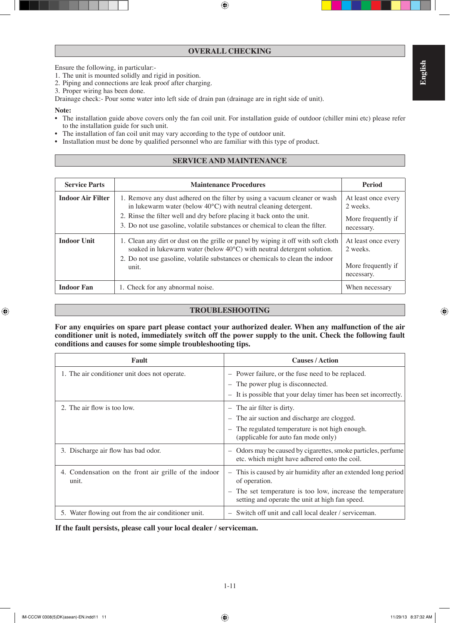#### **OVERALL CHECKING**

Ensure the following, in particular:-

- 1. The unit is mounted solidly and rigid in position.
- 2. Piping and connections are leak proof after charging.
- 3. Proper wiring has been done.

Drainage check:- Pour some water into left side of drain pan (drainage are in right side of unit).

#### **Note:**

- The installation guide above covers only the fan coil unit. For installation guide of outdoor (chiller mini etc) please refer to the installation guide for such unit.
- The installation of fan coil unit may vary according to the type of outdoor unit. •
- Installation must be done by qualified personnel who are familiar with this type of product.

#### **SERVICE AND MAINTENANCE**

| <b>Service Parts</b>     | <b>Maintenance Procedures</b>                                                                                                                                                                                                                                                                                     | <b>Period</b>                                                       |
|--------------------------|-------------------------------------------------------------------------------------------------------------------------------------------------------------------------------------------------------------------------------------------------------------------------------------------------------------------|---------------------------------------------------------------------|
| <b>Indoor Air Filter</b> | 1. Remove any dust adhered on the filter by using a vacuum cleaner or wash<br>in lukewarm water (below $40^{\circ}$ C) with neutral cleaning detergent.<br>2. Rinse the filter well and dry before placing it back onto the unit.<br>3. Do not use gasoline, volatile substances or chemical to clean the filter. | At least once every<br>2 weeks.<br>More frequently if<br>necessary. |
| <b>Indoor Unit</b>       | 1. Clean any dirt or dust on the grille or panel by wiping it off with soft cloth<br>soaked in lukewarm water (below $40^{\circ}$ C) with neutral detergent solution.<br>2. Do not use gasoline, volatile substances or chemicals to clean the indoor<br>unit.                                                    | At least once every<br>2 weeks.<br>More frequently if<br>necessary. |
| <b>Indoor Fan</b>        | 1. Check for any abnormal noise.                                                                                                                                                                                                                                                                                  | When necessary                                                      |

#### **TROUBLESHOOTING**

**For any enquiries on spare part please contact your authorized dealer. When any malfunction of the air conditioner unit is noted, immediately switch off the power supply to the unit. Check the following fault conditions and causes for some simple troubleshooting tips.**

| Fault                                                          | <b>Causes / Action</b>                                                                                                                  |
|----------------------------------------------------------------|-----------------------------------------------------------------------------------------------------------------------------------------|
| 1. The air conditioner unit does not operate.                  | Power failure, or the fuse need to be replaced.<br>$\qquad \qquad -$                                                                    |
|                                                                | The power plug is disconnected.<br>$\qquad \qquad -$                                                                                    |
|                                                                | It is possible that your delay timer has been set incorrectly.<br>$\overline{\phantom{0}}$                                              |
| 2. The air flow is too low.                                    | The air filter is dirty.<br>$\overline{\phantom{m}}$                                                                                    |
|                                                                | The air suction and discharge are clogged.<br>$\overline{\phantom{0}}$                                                                  |
|                                                                | The regulated temperature is not high enough.<br>$\overline{\phantom{0}}$                                                               |
|                                                                | (applicable for auto fan mode only)                                                                                                     |
| 3. Discharge air flow has bad odor.                            | Odors may be caused by cigarettes, smoke particles, perfume<br>$\overline{\phantom{0}}$<br>etc. which might have adhered onto the coil. |
| 4. Condensation on the front air grille of the indoor<br>unit. | This is caused by air humidity after an extended long period<br>$\qquad \qquad -$<br>of operation.                                      |
|                                                                | The set temperature is too low, increase the temperature<br>$\qquad \qquad -$<br>setting and operate the unit at high fan speed.        |
| 5. Water flowing out from the air conditioner unit.            | Switch off unit and call local dealer / serviceman.<br>$\overline{\phantom{0}}$                                                         |

**If the fault persists, please call your local dealer / serviceman.**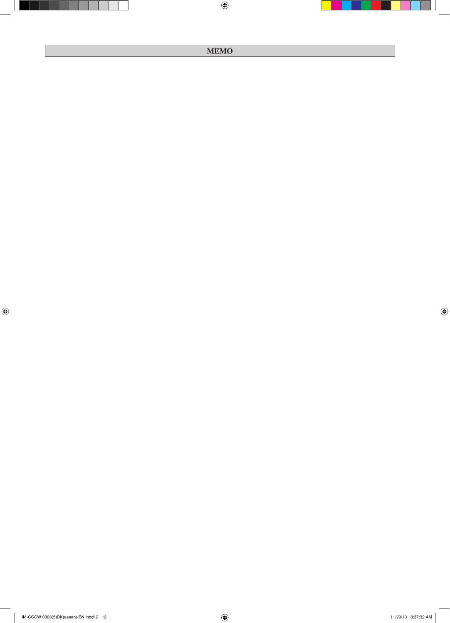#### **MEMO**